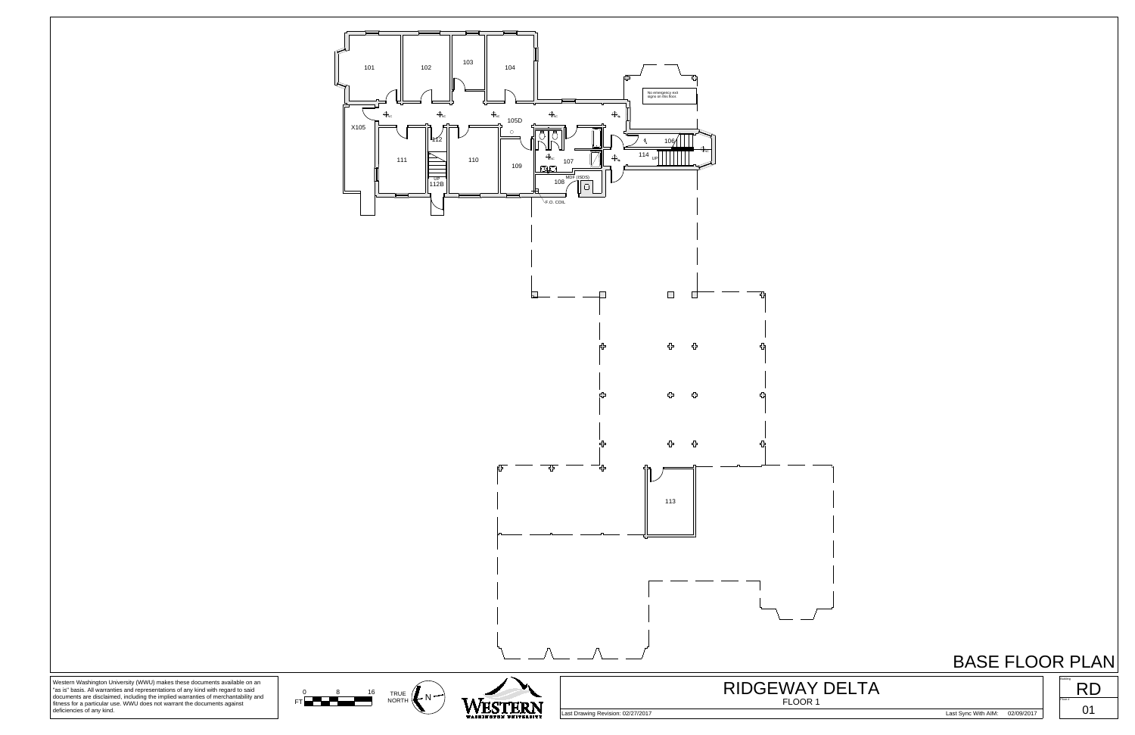





Western Washington University (WWU) makes these documents available on an "as is" basis. All warranties and representations of any kind with regard to said documents are disclaimed, including the implied warranties of merc

Last Drawing Revision: 02/27/2017 Last Sync With AIM: 02/09/2017

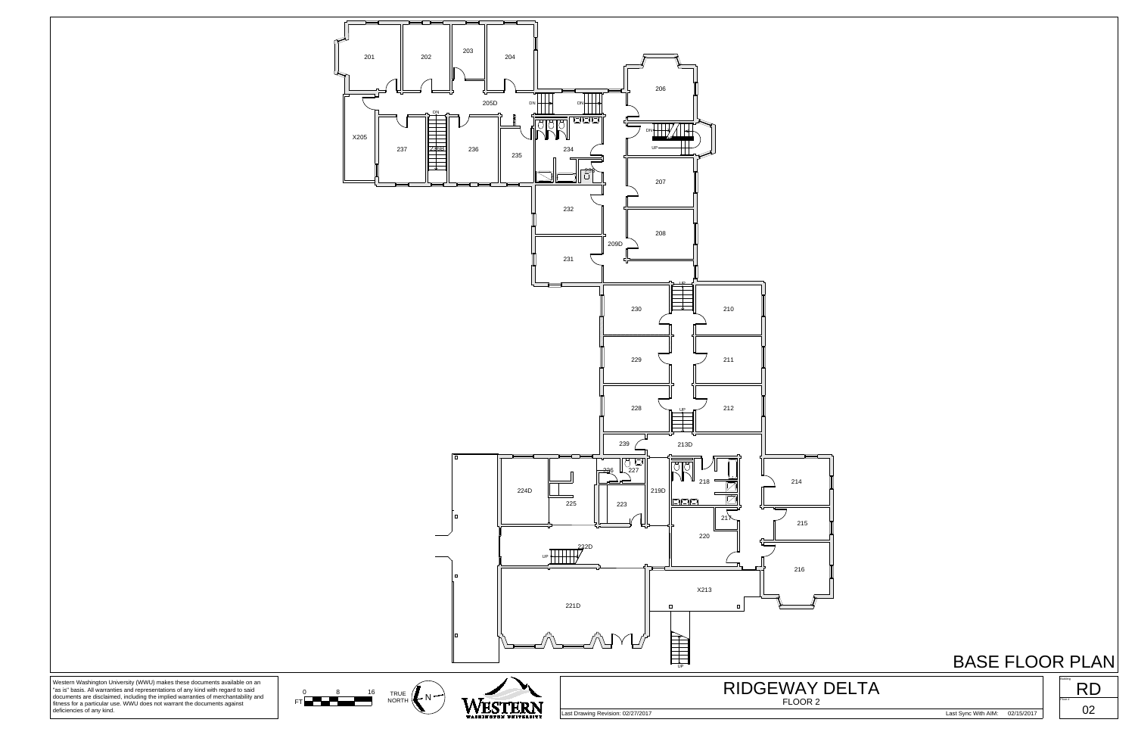

documents are disclaimed, including the implied warranties of merchantability and fitness for a particular use. WWU does not warrant the documents against deficiencies of any kind.

Last Drawing Revision: 02/27/2017 Last Sync With AIM: 02/15/2017

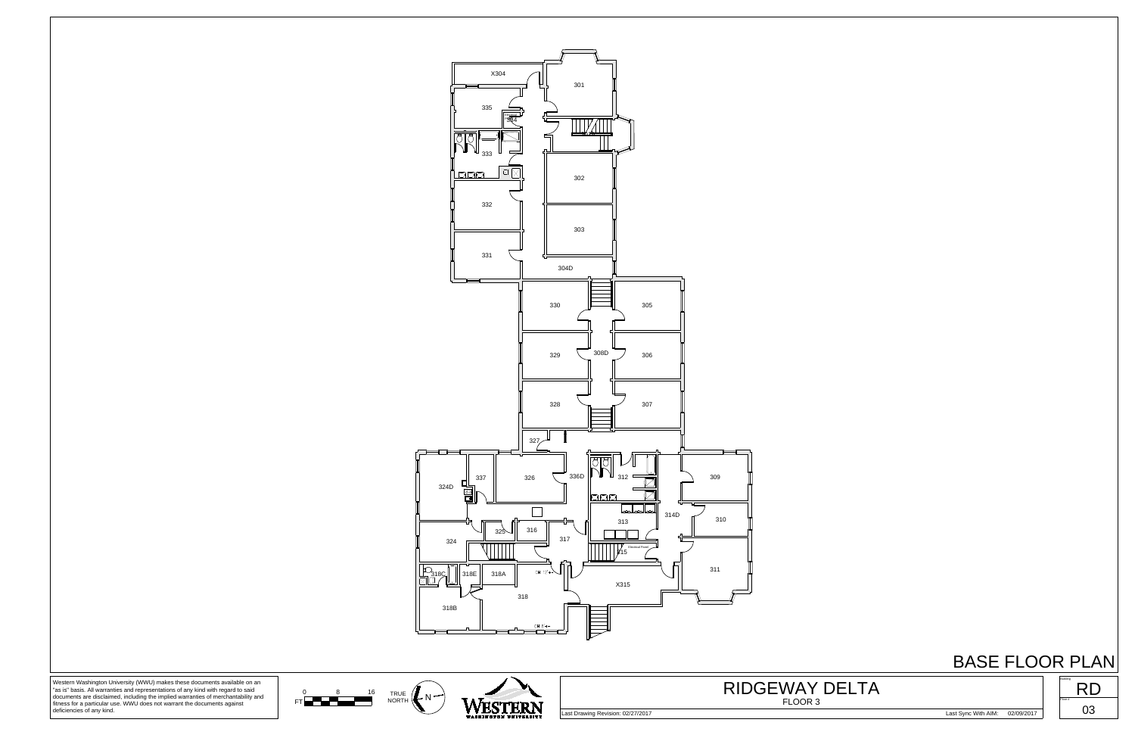



Western Washington University (WWU) makes these documents available on an "as is" basis. All warranties and representations of any kind with regard to said documents are disclaimed, including the implied warranties of merchantability and fitness for a particular use. WWU does not warrant the documents against deficiencies of any kind.